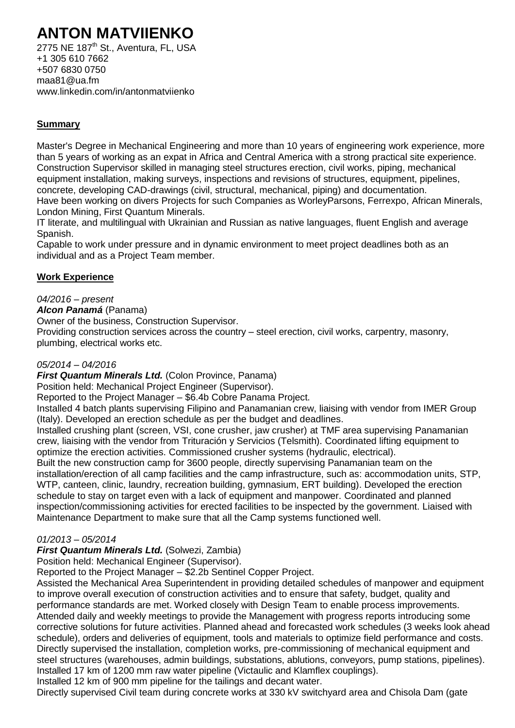# **ANTON MATVIIENKO**

2775 NE 187<sup>th</sup> St., Aventura, FL, USA +1 305 610 7662 +507 6830 0750 [maa81@ua.fm](mailto:maa81@ua.fm) [www.linkedin.com/in/antonmatviienko](http://www.linkedin.com/in/antonmatviienko)

## **Summary**

Master's Degree in Mechanical Engineering and more than 10 years of engineering work experience, more than 5 years of working as an expat in Africa and Central America with a strong practical site experience. Construction Supervisor skilled in managing steel structures erection, civil works, piping, mechanical equipment installation, making surveys, inspections and revisions of structures, equipment, pipelines, concrete, developing CAD-drawings (civil, structural, mechanical, piping) and documentation. Have been working on divers Projects for such Companies as WorleyParsons, Ferrexpo, African Minerals, London Mining, First Quantum Minerals.

IT literate, and multilingual with Ukrainian and Russian as native languages, fluent English and average Spanish.

Capable to work under pressure and in dynamic environment to meet project deadlines both as an individual and as a Project Team member.

## **Work Experience**

## *04/2016 – present*

#### *Alcon Panamá* (Panama)

Owner of the business, Construction Supervisor.

Providing construction services across the country – steel erection, civil works, carpentry, masonry, plumbing, electrical works etc.

## *05/2014 – 04/2016*

*First Quantum Minerals Ltd.* (Colon Province, Panama)

Position held: Mechanical Project Engineer (Supervisor).

Reported to the Project Manager – \$6.4b Cobre Panama Project.

Installed 4 batch plants supervising Filipino and Panamanian crew, liaising with vendor from IMER Group (Italy). Developed an erection schedule as per the budget and deadlines.

Installed crushing plant (screen, VSI, cone crusher, jaw crusher) at TMF area supervising Panamanian crew, liaising with the vendor from Trituración y Servicios (Telsmith). Coordinated lifting equipment to optimize the erection activities. Commissioned crusher systems (hydraulic, electrical).

Built the new construction camp for 3600 people, directly supervising Panamanian team on the installation/erection of all camp facilities and the camp infrastructure, such as: accommodation units, STP, WTP, canteen, clinic, laundry, recreation building, gymnasium, ERT building). Developed the erection schedule to stay on target even with a lack of equipment and manpower. Coordinated and planned inspection/commissioning activities for erected facilities to be inspected by the government. Liaised with Maintenance Department to make sure that all the Camp systems functioned well.

## *01/2013 – 05/2014*

## *First Quantum Minerals Ltd.* (Solwezi, Zambia)

Position held: Mechanical Engineer (Supervisor).

Reported to the Project Manager – \$2.2b Sentinel Copper Project.

Assisted the Mechanical Area Superintendent in providing detailed schedules of manpower and equipment to improve overall execution of construction activities and to ensure that safety, budget, quality and performance standards are met. Worked closely with Design Team to enable process improvements. Attended daily and weekly meetings to provide the Management with progress reports introducing some corrective solutions for future activities. Planned ahead and forecasted work schedules (3 weeks look ahead schedule), orders and deliveries of equipment, tools and materials to optimize field performance and costs. Directly supervised the installation, completion works, pre-commissioning of mechanical equipment and steel structures (warehouses, admin buildings, substations, ablutions, conveyors, pump stations, pipelines). Installed 17 km of 1200 mm raw water pipeline (Victaulic and Klamflex couplings).

Installed 12 km of 900 mm pipeline for the tailings and decant water.

Directly supervised Civil team during concrete works at 330 kV switchyard area and Chisola Dam (gate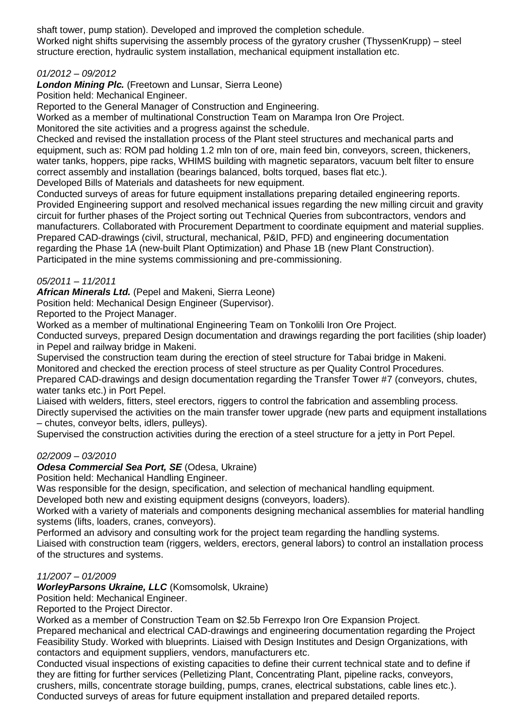shaft tower, pump station). Developed and improved the completion schedule. Worked night shifts supervising the assembly process of the gyratory crusher [\(ThyssenKrupp\)](https://www.google.com/url?sa=t&rct=j&q=&esrc=s&source=web&cd=5&cad=rja&uact=8&ved=0ahUKEwjk9Z78j4rNAhXQPB4KHbXJB-0QFghFMAQ&url=https%3A%2F%2Fwww.thyssenkruppelevator.com%2F&usg=AFQjCNFoZ9LvOJINQCNbOarfjR3io32JXA&bvm=bv.123664746,d.dmo) – steel structure erection, hydraulic system installation, mechanical equipment installation etc.

## *01/2012 – 09/2012*

*London Mining Plc.* (Freetown and Lunsar, Sierra Leone)

Position held: Mechanical Engineer.

Reported to the General Manager of Construction and Engineering.

Worked as a member of multinational Construction Team on Marampa Iron Ore Project.

Monitored the site activities and a progress against the schedule.

Checked and revised the installation process of the Plant steel structures and mechanical parts and equipment, such as: ROM pad holding 1.2 mln ton of ore, main feed bin, conveyors, screen, thickeners, water tanks, hoppers, pipe racks, WHIMS building with magnetic separators, vacuum belt filter to ensure correct assembly and installation (bearings balanced, bolts torqued, bases flat etc.).

Developed Bills of Materials and datasheets for new equipment.

Conducted surveys of areas for future equipment installations preparing detailed engineering reports. Provided Engineering support and resolved mechanical issues regarding the new milling circuit and gravity circuit for further phases of the Project sorting out Technical Queries from subcontractors, vendors and manufacturers. Collaborated with Procurement Department to coordinate equipment and material supplies. Prepared CAD-drawings (civil, structural, mechanical, P&ID, PFD) and engineering documentation regarding the Phase 1A (new-built Plant Optimization) and Phase 1B (new Plant Construction). Participated in the mine systems commissioning and pre-commissioning.

#### *05/2011 – 11/2011*

*African Minerals Ltd.* (Pepel and Makeni, Sierra Leone)

Position held: Mechanical Design Engineer (Supervisor).

Reported to the Project Manager.

Worked as a member of multinational Engineering Team on Tonkolili Iron Ore Project.

Conducted surveys, prepared Design documentation and drawings regarding the port facilities (ship loader) in Pepel and railway bridge in Makeni.

Supervised the construction team during the erection of steel structure for Tabai bridge in Makeni.

Monitored and checked the erection process of steel structure as per Quality Control Procedures.

Prepared CAD-drawings and design documentation regarding the Transfer Tower #7 (conveyors, chutes, water tanks etc.) in Port Pepel.

Liaised with welders, fitters, steel erectors, riggers to control the fabrication and assembling process. Directly supervised the activities on the main transfer tower upgrade (new parts and equipment installations – chutes, conveyor belts, idlers, pulleys).

Supervised the construction activities during the erection of a steel structure for a jetty in Port Pepel.

## *02/2009 – 03/2010*

*Odesa Commercial Sea Port, SE* (Odesa, Ukraine)

Position held: Mechanical Handling Engineer.

Was responsible for the design, specification, and selection of mechanical handling equipment.

Developed both new and existing equipment designs (conveyors, loaders).

Worked with a variety of materials and components designing mechanical assemblies for material handling systems (lifts, loaders, cranes, conveyors).

Performed an advisory and consulting work for the project team regarding the handling systems.

Liaised with construction team (riggers, welders, erectors, general labors) to control an installation process of the structures and systems.

#### *11/2007 – 01/2009*

*WorleyParsons Ukraine, LLC* (Komsomolsk, Ukraine)

Position held: Mechanical Engineer.

Reported to the Project Director.

Worked as a member of Construction Team on \$2.5b Ferrexpo Iron Ore Expansion Project. Prepared mechanical and electrical CAD-drawings and engineering documentation regarding the Project Feasibility Study. Worked with blueprints. Liaised with Design Institutes and Design Organizations, with contactors and equipment suppliers, vendors, manufacturers etc.

Conducted visual inspections of existing capacities to define their current technical state and to define if they are fitting for further services (Pelletizing Plant, Concentrating Plant, pipeline racks, conveyors, crushers, mills, concentrate storage building, pumps, cranes, electrical substations, cable lines etc.). Conducted surveys of areas for future equipment installation and prepared detailed reports.